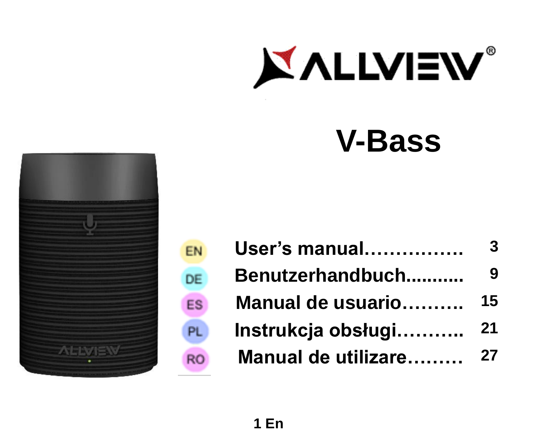

# **V-Bass**



EN DE

PL

**RO** 

| User's manual       |    |
|---------------------|----|
| Benutzerhandbuch    | 9  |
| Manual de usuario   | 15 |
| Instrukcja obsługi  | 21 |
| Manual de utilizare | 27 |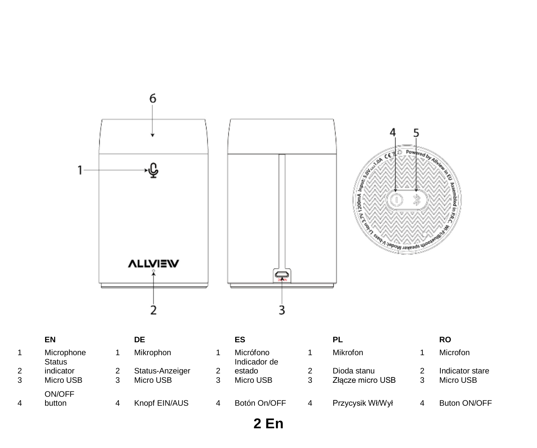

|        | EN                          | DE                           | ES                        |   | PL                              | RO                           |
|--------|-----------------------------|------------------------------|---------------------------|---|---------------------------------|------------------------------|
|        | Microphone<br><b>Status</b> | Mikrophon                    | Micrófono<br>Indicador de |   | Mikrofon                        | Microfon                     |
| 2<br>3 | indicator<br>Micro USB      | Status-Anzeiger<br>Micro USB | estado<br>Micro USB       |   | Dioda stanu<br>Złacze micro USB | Indicator stare<br>Micro USB |
| 4      | ON/OFF<br>button            | Knopf EIN/AUS                | Botón On/OFF              | 4 | Przycysik Wł/Wył                | Buton ON/OFF                 |

**En**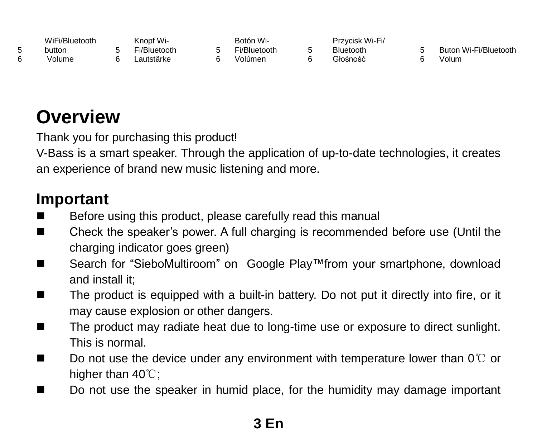| WiFi/Bluetooth | Knopf Wi-    | Botón Wi-    | Przycisk Wi-Fi/ |                       |
|----------------|--------------|--------------|-----------------|-----------------------|
| button         | Fi/Bluetooth | Fi/Bluetooth | Bluetooth       | Buton Wi-Fi/Bluetooth |
| Volume         | autstärke    | Volúmen      | Głośność        | Volum                 |

### **Overview**

 $\frac{5}{6}$ 

Thank you for purchasing this product!

V-Bass is a smart speaker. Through the application of up-to-date technologies, it creates an experience of brand new music listening and more.

### **Important**

- Before using this product, please carefully read this manual
- Check the speaker's power. A full charging is recommended before use (Until the charging indicator goes green)
- Search for "SieboMultiroom" on Google Play™from your smartphone, download and install it:
- The product is equipped with a built-in battery. Do not put it directly into fire, or it may cause explosion or other dangers.
- The product may radiate heat due to long-time use or exposure to direct sunlight. This is normal.
- Do not use the device under any environment with temperature lower than 0℃ or higher than 40℃;
- Do not use the speaker in humid place, for the humidity may damage important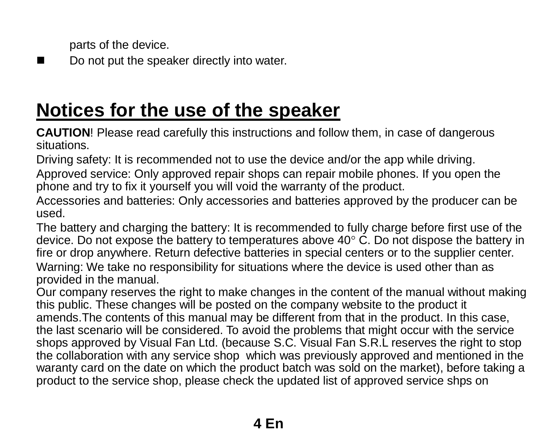parts of the device.

Do not put the speaker directly into water.

### **Notices for the use of the speaker**

**CAUTION**! Please read carefully this instructions and follow them, in case of dangerous situations.

Driving safety: It is recommended not to use the device and/or the app while driving.

Approved service: Only approved repair shops can repair mobile phones. If you open the phone and try to fix it yourself you will void the warranty of the product.

Accessories and batteries: Only accessories and batteries approved by the producer can be used.

The battery and charging the battery: It is recommended to fully charge before first use of the device. Do not expose the battery to temperatures above  $40^{\circ}$  C. Do not dispose the battery in fire or drop anywhere. Return defective batteries in special centers or to the supplier center.

Warning: We take no responsibility for situations where the device is used other than as provided in the manual.

Our company reserves the right to make changes in the content of the manual without making this public. These changes will be posted on the company website to the product it amends.The contents of this manual may be different from that in the product. In this case, the last scenario will be considered. To avoid the problems that might occur with the service shops approved by Visual Fan Ltd. (because S.C. Visual Fan S.R.L reserves the right to stop the collaboration with any service shop which was previously approved and mentioned in the waranty card on the date on which the product batch was sold on the market), before taking a product to the service shop, please check the updated list of approved service shps on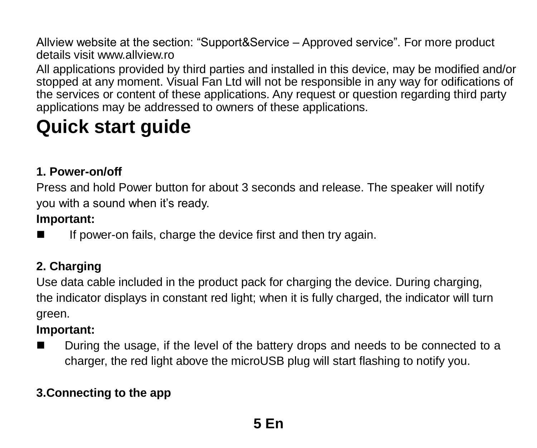Allview website at the section: "Support&Service – Approved service". For more product details visit www.allview.ro

All applications provided by third parties and installed in this device, may be modified and/or stopped at any moment. Visual Fan Ltd will not be responsible in any way for odifications of the services or content of these applications. Any request or question regarding third party applications may be addressed to owners of these applications.

## **Quick start guide**

#### **1. Power-on/off**

Press and hold Power button for about 3 seconds and release. The speaker will notify you with a sound when it's ready.

#### **Important:**

If power-on fails, charge the device first and then try again.

#### **2. Charging**

Use data cable included in the product pack for charging the device. During charging, the indicator displays in constant red light; when it is fully charged, the indicator will turn green.

#### **Important:**

■ During the usage, if the level of the battery drops and needs to be connected to a charger, the red light above the microUSB plug will start flashing to notify you.

#### **3.Connecting to the app**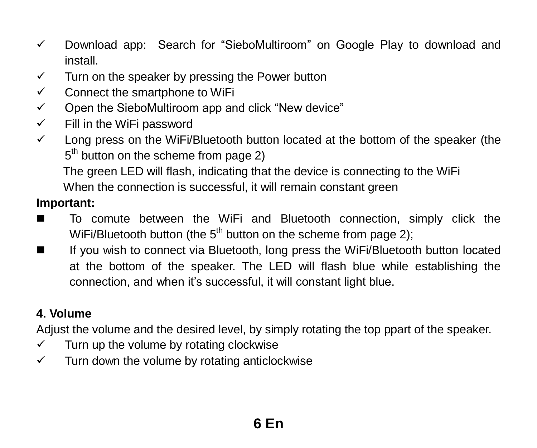- $\checkmark$  Download app: Search for "SieboMultiroom" on Google Play to download and install.
- $\checkmark$  Turn on the speaker by pressing the Power button
- $\checkmark$  Connect the smartphone to WiFi
- $\checkmark$  Open the SieboMultiroom app and click "New device"
- $\checkmark$  Fill in the WiFi password
- $\checkmark$  Long press on the WiFi/Bluetooth button located at the bottom of the speaker (the 5<sup>th</sup> button on the scheme from page 2)

The green LED will flash, indicating that the device is connecting to the WiFi

When the connection is successful, it will remain constant green

#### **Important:**

- To comute between the WiFi and Bluetooth connection, simply click the WiFi/Bluetooth button (the  $5<sup>th</sup>$  button on the scheme from page 2);
- If you wish to connect via Bluetooth, long press the WiFi/Bluetooth button located at the bottom of the speaker. The LED will flash blue while establishing the connection, and when it's successful, it will constant light blue.

#### **4. Volume**

Adjust the volume and the desired level, by simply rotating the top ppart of the speaker.

- $\checkmark$  Turn up the volume by rotating clockwise
- $\checkmark$  Turn down the volume by rotating anticlockwise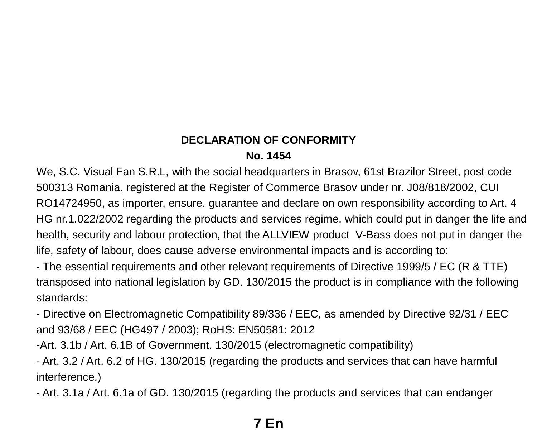#### **DECLARATION OF CONFORMITY No. 1454**

We, S.C. Visual Fan S.R.L, with the social headquarters in Brasov, 61st Brazilor Street, post code 500313 Romania, registered at the Register of Commerce Brasov under nr. J08/818/2002, CUI RO14724950, as importer, ensure, guarantee and declare on own responsibility according to Art. 4 HG nr.1.022/2002 regarding the products and services regime, which could put in danger the life and health, security and labour protection, that the ALLVIEW product V-Bass does not put in danger the life, safety of labour, does cause adverse environmental impacts and is according to:

- The essential requirements and other relevant requirements of Directive 1999/5 / EC (R & TTE) transposed into national legislation by GD. 130/2015 the product is in compliance with the following standards:

- Directive on Electromagnetic Compatibility 89/336 / EEC, as amended by Directive 92/31 / EEC and 93/68 / EEC (HG497 / 2003); RoHS: EN50581: 2012

-Art. 3.1b / Art. 6.1B of Government. 130/2015 (electromagnetic compatibility)

- Art. 3.2 / Art. 6.2 of HG. 130/2015 (regarding the products and services that can have harmful interference.)

- Art. 3.1a / Art. 6.1a of GD. 130/2015 (regarding the products and services that can endanger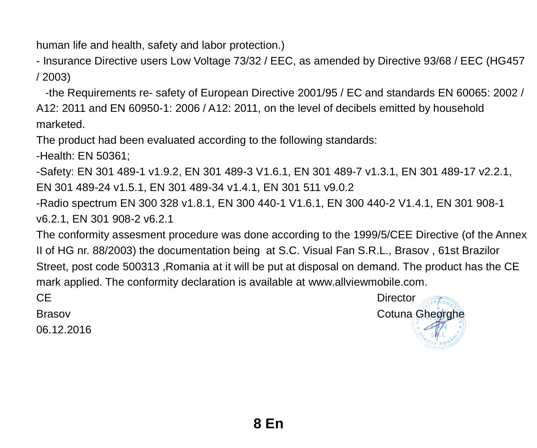human life and health, safety and labor protection.)

- Insurance Directive users Low Voltage 73/32 / EEC, as amended by Directive 93/68 / EEC (HG457 / 2003)

 -the Requirements re- safety of European Directive 2001/95 / EC and standards EN 60065: 2002 / A12: 2011 and EN 60950-1: 2006 / A12: 2011, on the level of decibels emitted by household marketed.

The product had been evaluated according to the following standards:

-Health: EN 50361;

-Safety: EN 301 489-1 v1.9.2, EN 301 489-3 V1.6.1, EN 301 489-7 v1.3.1, EN 301 489-17 v2.2.1, EN 301 489-24 v1.5.1, EN 301 489-34 v1.4.1, EN 301 511 v9.0.2

-Radio spectrum EN 300 328 v1.8.1, EN 300 440-1 V1.6.1, EN 300 440-2 V1.4.1, EN 301 908-1 v6.2.1, FN 301 908-2 v6.2.1

The conformity assesment procedure was done according to the 1999/5/CEE Directive (of the Annex II of HG nr. 88/2003) the documentation being at S.C. Visual Fan S.R.L., Brasov , 61st Brazilor Street, post code 500313 ,Romania at it will be put at disposal on demand. The product has the CE mark applied. The conformity declaration is available a[t www.allviewmobile.com.](http://www.allviewmobile.com/)

06.12.2016

CE Director Brasov Cotuna Gheorghe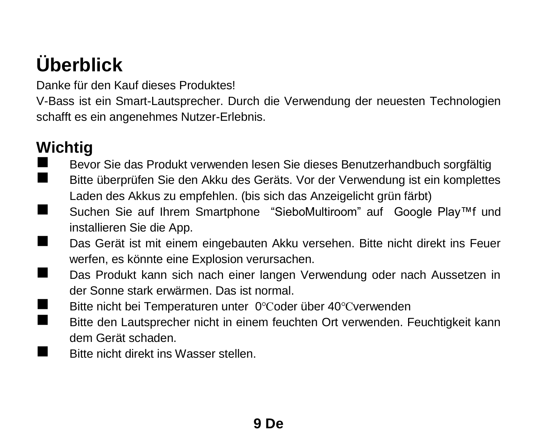## **Überblick**

Danke für den Kauf dieses Produktes!

V-Bass ist ein Smart-Lautsprecher. Durch die Verwendung der neuesten Technologien schafft es ein angenehmes Nutzer-Erlebnis.

### **Wichtig**

- Bevor Sie das Produkt verwenden lesen Sie dieses Benutzerhandbuch sorgfältig<br>Bitte überprüfen Sie den Akku des Geräts. Vor der Verwendung ist ein komplette
- Bitte überprüfen Sie den Akku des Geräts. Vor der Verwendung ist ein komplettes Laden des Akkus zu empfehlen. (bis sich das Anzeigelicht grün färbt)
- Suchen Sie auf Ihrem Smartphone "SieboMultiroom" auf Google Play™f und installieren Sie die App.
- Das Gerät ist mit einem eingebauten Akku versehen. Bitte nicht direkt ins Feuer werfen, es könnte eine Explosion verursachen.
- Das Produkt kann sich nach einer langen Verwendung oder nach Aussetzen in der Sonne stark erwärmen. Das ist normal.
- Bitte nicht bei Temperaturen unter 0℃oder über 40℃verwenden<br>■ Bitte den Lautenrecher nicht in einem fauchten Ort verwenden. E
	- Bitte den Lautsprecher nicht in einem feuchten Ort verwenden. Feuchtigkeit kann dem Gerät schaden.
- Bitte nicht direkt ins Wasser stellen.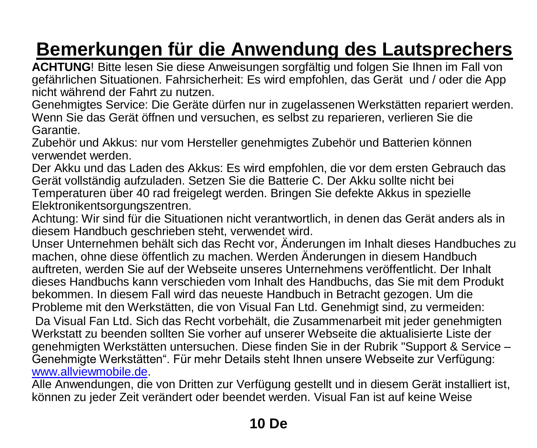## **Bemerkungen für die Anwendung des Lautsprechers**

**ACHTUNG**! Bitte lesen Sie diese Anweisungen sorgfältig und folgen Sie Ihnen im Fall von gefährlichen Situationen. Fahrsicherheit: Es wird empfohlen, das Gerät und / oder die App nicht während der Fahrt zu nutzen.

Genehmigtes Service: Die Geräte dürfen nur in zugelassenen Werkstätten repariert werden. Wenn Sie das Gerät öffnen und versuchen, es selbst zu reparieren, verlieren Sie die Garantie.

Zubehör und Akkus: nur vom Hersteller genehmigtes Zubehör und Batterien können verwendet werden.

Der Akku und das Laden des Akkus: Es wird empfohlen, die vor dem ersten Gebrauch das Gerät vollständig aufzuladen. Setzen Sie die Batterie C. Der Akku sollte nicht bei Temperaturen über 40 rad freigelegt werden. Bringen Sie defekte Akkus in spezielle Elektronikentsorgungszentren.

Achtung: Wir sind für die Situationen nicht verantwortlich, in denen das Gerät anders als in diesem Handbuch geschrieben steht, verwendet wird.

Unser Unternehmen behält sich das Recht vor, Änderungen im Inhalt dieses Handbuches zu machen, ohne diese öffentlich zu machen. Werden Änderungen in diesem Handbuch auftreten, werden Sie auf der Webseite unseres Unternehmens veröffentlicht. Der Inhalt dieses Handbuchs kann verschieden vom Inhalt des Handbuchs, das Sie mit dem Produkt bekommen. In diesem Fall wird das neueste Handbuch in Betracht gezogen. Um die Probleme mit den Werkstätten, die von Visual Fan Ltd. Genehmigt sind, zu vermeiden:

Da Visual Fan Ltd. Sich das Recht vorbehält, die Zusammenarbeit mit jeder genehmigten Werkstatt zu beenden sollten Sie vorher auf unserer Webseite die aktualisierte Liste der genehmigten Werkstätten untersuchen. Diese finden Sie in der Rubrik "Support & Service – Genehmigte Werkstätten". Für mehr Details steht Ihnen unsere Webseite zur Verfügung: [www.allviewmobile.de.](http://www.allviewmobile.de/) 

Alle Anwendungen, die von Dritten zur Verfügung gestellt und in diesem Gerät installiert ist, können zu jeder Zeit verändert oder beendet werden. Visual Fan ist auf keine Weise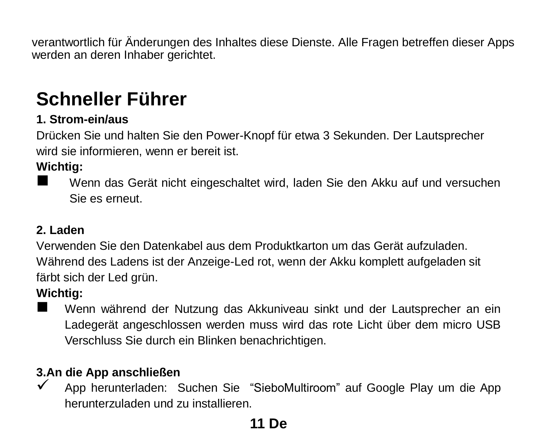verantwortlich für Änderungen des Inhaltes diese Dienste. Alle Fragen betreffen dieser Apps werden an deren Inhaber gerichtet.

## **Schneller Führer**

#### **1. Strom-ein/aus**

Drücken Sie und halten Sie den Power-Knopf für etwa 3 Sekunden. Der Lautsprecher wird sie informieren, wenn er bereit ist.

#### **Wichtig:**

 Wenn das Gerät nicht eingeschaltet wird, laden Sie den Akku auf und versuchen Sie es erneut.

#### **2. Laden**

Verwenden Sie den Datenkabel aus dem Produktkarton um das Gerät aufzuladen. Während des Ladens ist der Anzeige-Led rot, wenn der Akku komplett aufgeladen sit färbt sich der Led grün.

#### **Wichtig:**

 Wenn während der Nutzung das Akkuniveau sinkt und der Lautsprecher an ein Ladegerät angeschlossen werden muss wird das rote Licht über dem micro USB Verschluss Sie durch ein Blinken benachrichtigen.

#### **3.An die App anschließen**

 $\checkmark$  App herunterladen: Suchen Sie "SieboMultiroom" auf Google Play um die App herunterzuladen und zu installieren.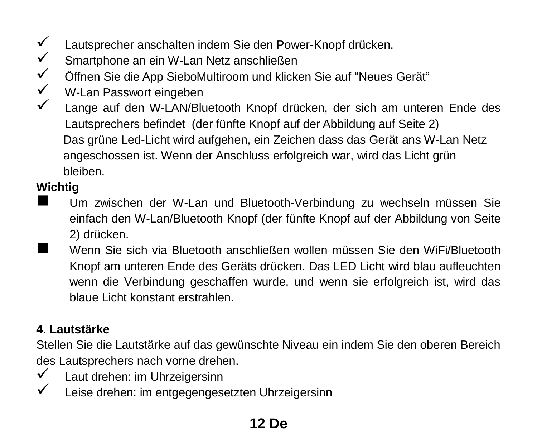- $\checkmark$  Lautsprecher anschalten indem Sie den Power-Knopf drücken.<br>► Smartphone an ein W-Lan Netz anschließen
- <del>V</del> Smartphone an ein W-Lan Netz anschließen
- Öffnen Sie die App SieboMultiroom und klicken Sie auf "Neues Gerät"
- $\checkmark$  W-Lan Passwort eingeben
- Lange auf den W-LAN/Bluetooth Knopf drücken, der sich am unteren Ende des Lautsprechers befindet (der fünfte Knopf auf der Abbildung auf Seite 2) Das grüne Led-Licht wird aufgehen, ein Zeichen dass das Gerät ans W-Lan Netz angeschossen ist. Wenn der Anschluss erfolgreich war, wird das Licht grün bleiben.

### **Wichtig**

- Um zwischen der W-Lan und Bluetooth-Verbindung zu wechseln müssen Sie einfach den W-Lan/Bluetooth Knopf (der fünfte Knopf auf der Abbildung von Seite 2) drücken.
- Wenn Sie sich via Bluetooth anschließen wollen müssen Sie den WiFi/Bluetooth Knopf am unteren Ende des Geräts drücken. Das LED Licht wird blau aufleuchten wenn die Verbindung geschaffen wurde, und wenn sie erfolgreich ist, wird das blaue Licht konstant erstrahlen.

#### **4. Lautstärke**

Stellen Sie die Lautstärke auf das gewünschte Niveau ein indem Sie den oberen Bereich des Lautsprechers nach vorne drehen.

- $\checkmark$  Laut drehen: im Uhrzeigersinn
- $\checkmark$  Leise drehen: im entgegengesetzten Uhrzeigersinn

### **12 De**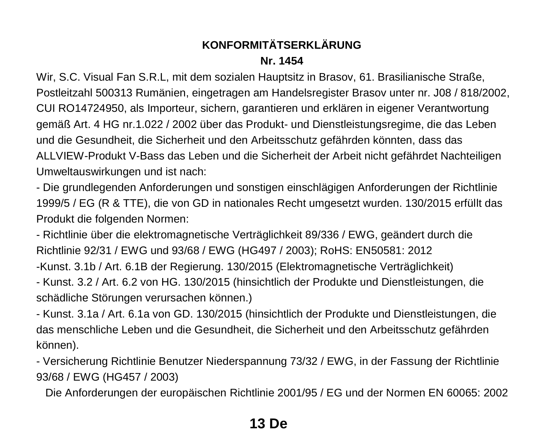#### **KONFORMITÄTSERKLÄRUNG Nr. 1454**

Wir, S.C. Visual Fan S.R.L, mit dem sozialen Hauptsitz in Brasov, 61. Brasilianische Straße, Postleitzahl 500313 Rumänien, eingetragen am Handelsregister Brasov unter nr. J08 / 818/2002, CUI RO14724950, als Importeur, sichern, garantieren und erklären in eigener Verantwortung gemäß Art. 4 HG nr.1.022 / 2002 über das Produkt- und Dienstleistungsregime, die das Leben und die Gesundheit, die Sicherheit und den Arbeitsschutz gefährden könnten, dass das ALLVIEW-Produkt V-Bass das Leben und die Sicherheit der Arbeit nicht gefährdet Nachteiligen Umweltauswirkungen und ist nach:

- Die grundlegenden Anforderungen und sonstigen einschlägigen Anforderungen der Richtlinie 1999/5 / EG (R & TTE), die von GD in nationales Recht umgesetzt wurden. 130/2015 erfüllt das Produkt die folgenden Normen:

- Richtlinie über die elektromagnetische Verträglichkeit 89/336 / EWG, geändert durch die Richtlinie 92/31 / EWG und 93/68 / EWG (HG497 / 2003); RoHS: EN50581: 2012

-Kunst. 3.1b / Art. 6.1B der Regierung. 130/2015 (Elektromagnetische Verträglichkeit)

- Kunst. 3.2 / Art. 6.2 von HG. 130/2015 (hinsichtlich der Produkte und Dienstleistungen, die schädliche Störungen verursachen können.)

- Kunst. 3.1a / Art. 6.1a von GD. 130/2015 (hinsichtlich der Produkte und Dienstleistungen, die das menschliche Leben und die Gesundheit, die Sicherheit und den Arbeitsschutz gefährden können).

- Versicherung Richtlinie Benutzer Niederspannung 73/32 / EWG, in der Fassung der Richtlinie 93/68 / EWG (HG457 / 2003)

Die Anforderungen der europäischen Richtlinie 2001/95 / EG und der Normen EN 60065: 2002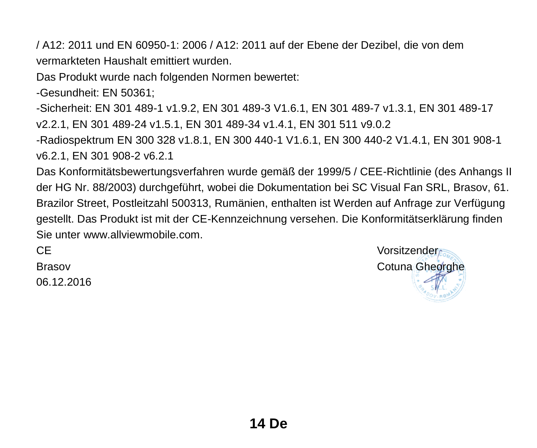/ A12: 2011 und EN 60950-1: 2006 / A12: 2011 auf der Ebene der Dezibel, die von dem vermarkteten Haushalt emittiert wurden.

Das Produkt wurde nach folgenden Normen bewertet:

-Gesundheit: EN 50361;

-Sicherheit: EN 301 489-1 v1.9.2, EN 301 489-3 V1.6.1, EN 301 489-7 v1.3.1, EN 301 489-17 v2.2.1, EN 301 489-24 v1.5.1, EN 301 489-34 v1.4.1, EN 301 511 v9.0.2

-Radiospektrum EN 300 328 v1.8.1, EN 300 440-1 V1.6.1, EN 300 440-2 V1.4.1, EN 301 908-1 v6.2.1, EN 301 908-2 v6.2.1

Das Konformitätsbewertungsverfahren wurde gemäß der 1999/5 / CEE-Richtlinie (des Anhangs II der HG Nr. 88/2003) durchgeführt, wobei die Dokumentation bei SC Visual Fan SRL, Brasov, 61. Brazilor Street, Postleitzahl 500313, Rumänien, enthalten ist Werden auf Anfrage zur Verfügung gestellt. Das Produkt ist mit der CE-Kennzeichnung versehen. Die Konformitätserklärung finden Sie unter www.allviewmobile.com.

06.12.2016

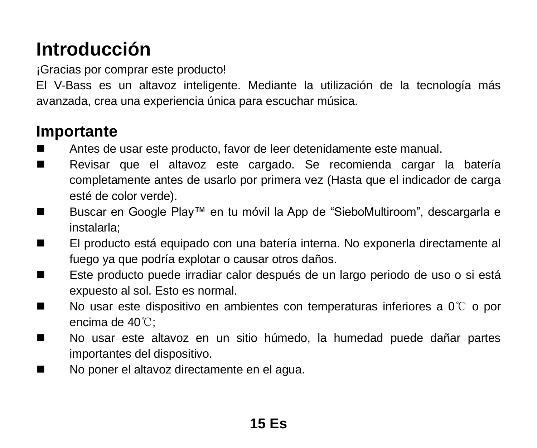## **Introducción**

¡Gracias por comprar este producto!

El V-Bass es un altavoz inteligente. Mediante la utilización de la tecnología más avanzada, crea una experiencia única para escuchar música.

### **Importante**

- Antes de usar este producto, favor de leer detenidamente este manual.
- Revisar que el altavoz este cargado. Se recomienda cargar la batería completamente antes de usarlo por primera vez (Hasta que el indicador de carga esté de color verde).
- Buscar en Google Play™ en tu móvil la App de "SieboMultiroom", descargarla e instalarla;
- El producto está equipado con una batería interna. No exponerla directamente al fuego ya que podría explotar o causar otros daños.
- Este producto puede irradiar calor después de un largo periodo de uso o si está expuesto al sol. Esto es normal.
- No usar este dispositivo en ambientes con temperaturas inferiores a 0 ℃ o por encima de 40℃;
- No usar este altavoz en un sitio húmedo, la humedad puede dañar partes importantes del dispositivo.
- No poner el altavoz directamente en el agua.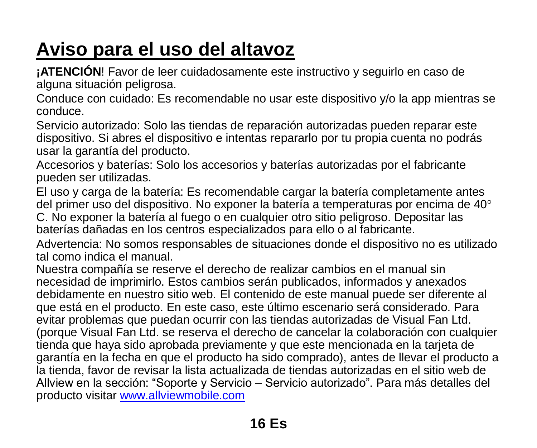## **Aviso para el uso del altavoz**

**¡ATENCIÓN**! Favor de leer cuidadosamente este instructivo y seguirlo en caso de alguna situación peligrosa.

Conduce con cuidado: Es recomendable no usar este dispositivo y/o la app mientras se conduce.

Servicio autorizado: Solo las tiendas de reparación autorizadas pueden reparar este dispositivo. Si abres el dispositivo e intentas repararlo por tu propia cuenta no podrás usar la garantía del producto.

Accesorios y baterías: Solo los accesorios y baterías autorizadas por el fabricante pueden ser utilizadas.

El uso y carga de la batería: Es recomendable cargar la batería completamente antes del primer uso del dispositivo. No exponer la batería a temperaturas por encima de 40 C. No exponer la batería al fuego o en cualquier otro sitio peligroso. Depositar las baterías dañadas en los centros especializados para ello o al fabricante.

Advertencia: No somos responsables de situaciones donde el dispositivo no es utilizado tal como indica el manual.

Nuestra compañía se reserve el derecho de realizar cambios en el manual sin necesidad de imprimirlo. Estos cambios serán publicados, informados y anexados debidamente en nuestro sitio web. El contenido de este manual puede ser diferente al que está en el producto. En este caso, este último escenario será considerado. Para evitar problemas que puedan ocurrir con las tiendas autorizadas de Visual Fan Ltd. (porque Visual Fan Ltd. se reserva el derecho de cancelar la colaboración con cualquier tienda que haya sido aprobada previamente y que este mencionada en la tarjeta de garantía en la fecha en que el producto ha sido comprado), antes de llevar el producto a la tienda, favor de revisar la lista actualizada de tiendas autorizadas en el sitio web de Allview en la sección: "Soporte y Servicio – Servicio autorizado". Para más detalles del producto visitar [www.allviewmobile.com](http://www.allviewmobile.com/)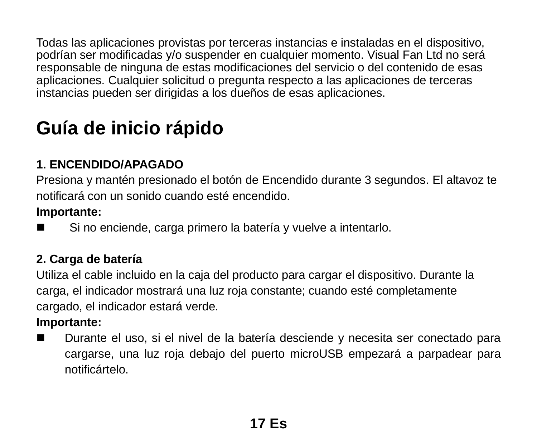Todas las aplicaciones provistas por terceras instancias e instaladas en el dispositivo, podrían ser modificadas y/o suspender en cualquier momento. Visual Fan Ltd no será responsable de ninguna de estas modificaciones del servicio o del contenido de esas aplicaciones. Cualquier solicitud o pregunta respecto a las aplicaciones de terceras instancias pueden ser dirigidas a los dueños de esas aplicaciones.

## **Guía de inicio rápido**

#### **1. ENCENDIDO/APAGADO**

Presiona y mantén presionado el botón de Encendido durante 3 segundos. El altavoz te notificará con un sonido cuando esté encendido.

#### **Importante:**

Si no enciende, carga primero la batería y vuelve a intentarlo.

#### **2. Carga de batería**

Utiliza el cable incluido en la caja del producto para cargar el dispositivo. Durante la carga, el indicador mostrará una luz roja constante; cuando esté completamente cargado, el indicador estará verde.

#### **Importante:**

■ Durante el uso, si el nivel de la batería desciende y necesita ser conectado para cargarse, una luz roja debajo del puerto microUSB empezará a parpadear para notificártelo.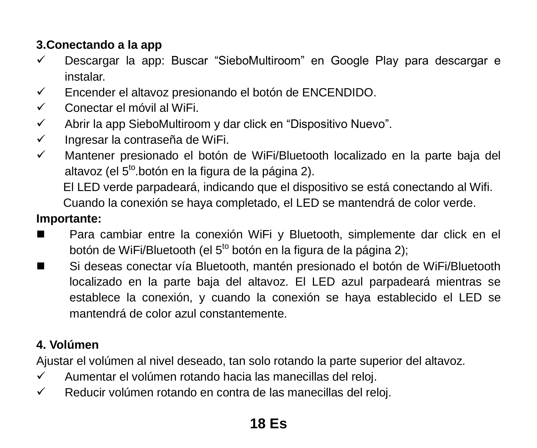#### **3.Conectando a la app**

- $\checkmark$  Descargar la app: Buscar "SieboMultiroom" en Google Play para descargar e instalar.
- Encender el altavoz presionando el botón de ENCENDIDO.
- Conectar el móvil al WiFi.
- $\checkmark$  Abrir la app SieboMultiroom v dar click en "Dispositivo Nuevo".
- $\checkmark$  Ingresar la contraseña de WiFi.
- $\checkmark$  Mantener presionado el botón de WiFi/Bluetooth localizado en la parte baja del altavoz (el 5<sup>to</sup>.botón en la figura de la página 2).

El LED verde parpadeará, indicando que el dispositivo se está conectando al Wifi.

Cuando la conexión se haya completado, el LED se mantendrá de color verde.

#### **Importante:**

- Para cambiar entre la conexión WiFi y Bluetooth, simplemente dar click en el botón de WiFi/Bluetooth (el 5<sup>to</sup> botón en la figura de la página 2);
- Si deseas conectar vía Bluetooth, mantén presionado el botón de WiFi/Bluetooth localizado en la parte baja del altavoz. El LED azul parpadeará mientras se establece la conexión, y cuando la conexión se haya establecido el LED se mantendrá de color azul constantemente.

#### **4. Volúmen**

Ajustar el volúmen al nivel deseado, tan solo rotando la parte superior del altavoz.

- $\checkmark$  Aumentar el volúmen rotando hacia las manecillas del reloj.
- $\checkmark$  Reducir volúmen rotando en contra de las manecillas del reloj.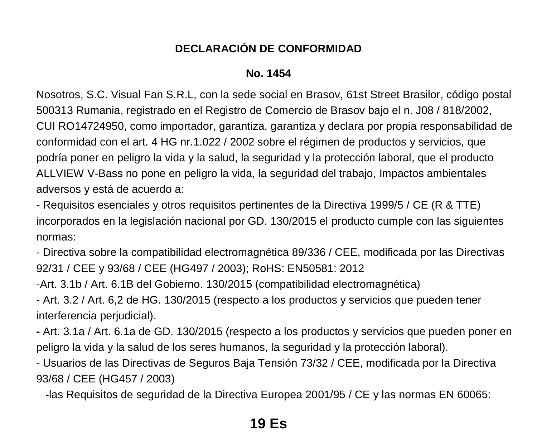#### **DECLARACIÓN DE CONFORMIDAD**

#### **No. 1454**

Nosotros, S.C. Visual Fan S.R.L, con la sede social en Brasov, 61st Street Brasilor, código postal 500313 Rumania, registrado en el Registro de Comercio de Brasov bajo el n. J08 / 818/2002, CUI RO14724950, como importador, garantiza, garantiza y declara por propia responsabilidad de conformidad con el art. 4 HG nr.1.022 / 2002 sobre el régimen de productos y servicios, que podría poner en peligro la vida y la salud, la seguridad y la protección laboral, que el producto ALLVIEW V-Bass no pone en peligro la vida, la seguridad del trabajo, Impactos ambientales adversos y está de acuerdo a:

- Requisitos esenciales y otros requisitos pertinentes de la Directiva 1999/5 / CE (R & TTE) incorporados en la legislación nacional por GD. 130/2015 el producto cumple con las siguientes normas:

- Directiva sobre la compatibilidad electromagnética 89/336 / CEE, modificada por las Directivas 92/31 / CEE y 93/68 / CEE (HG497 / 2003); RoHS: EN50581: 2012

-Art. 3.1b / Art. 6.1B del Gobierno. 130/2015 (compatibilidad electromagnética)

- Art. 3.2 / Art. 6,2 de HG. 130/2015 (respecto a los productos y servicios que pueden tener interferencia perjudicial).

**-** Art. 3.1a / Art. 6.1a de GD. 130/2015 (respecto a los productos y servicios que pueden poner en peligro la vida y la salud de los seres humanos, la seguridad y la protección laboral).

- Usuarios de las Directivas de Seguros Baja Tensión 73/32 / CEE, modificada por la Directiva 93/68 / CEE (HG457 / 2003)

-las Requisitos de seguridad de la Directiva Europea 2001/95 / CE y las normas EN 60065: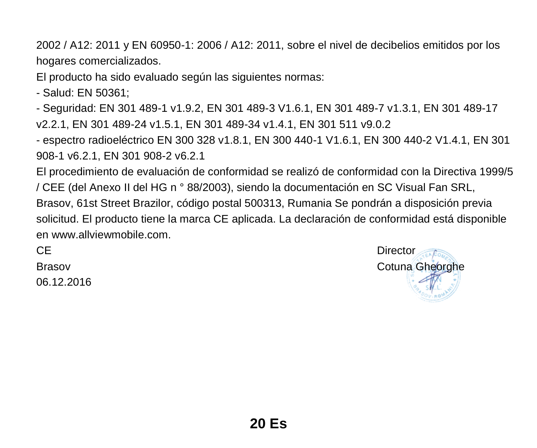2002 / A12: 2011 y EN 60950-1: 2006 / A12: 2011, sobre el nivel de decibelios emitidos por los hogares comercializados.

El producto ha sido evaluado según las siguientes normas:

- Salud: EN 50361;

- Seguridad: EN 301 489-1 v1.9.2, EN 301 489-3 V1.6.1, EN 301 489-7 v1.3.1, EN 301 489-17 v2.2.1, EN 301 489-24 v1.5.1, EN 301 489-34 v1.4.1, EN 301 511 v9.0.2

- espectro radioeléctrico EN 300 328 v1.8.1, EN 300 440-1 V1.6.1, EN 300 440-2 V1.4.1, EN 301 908-1 v6.2.1, EN 301 908-2 v6.2.1

El procedimiento de evaluación de conformidad se realizó de conformidad con la Directiva 1999/5 / CEE (del Anexo II del HG n ° 88/2003), siendo la documentación en SC Visual Fan SRL, Brasov, 61st Street Brazilor, código postal 500313, Rumania Se pondrán a disposición previa solicitud. El producto tiene la marca CE aplicada. La declaración de conformidad está disponible en [www.allviewmobile.com.](http://www.allviewmobile.com/)

06.12.2016

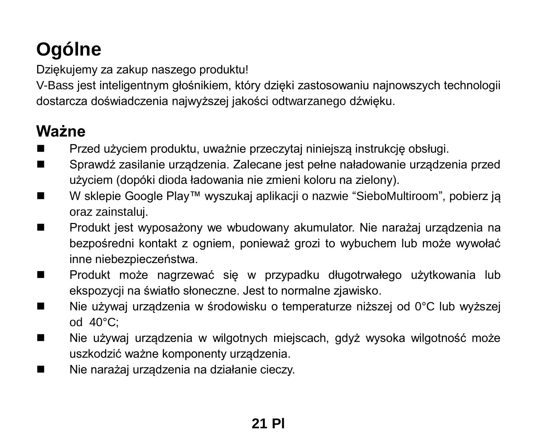## **Ogólne**

Dziękujemy za zakup naszego produktu!

V-Bass jest inteligentnym głośnikiem, który dzięki zastosowaniu najnowszych technologii dostarcza doświadczenia najwyższej jakości odtwarzanego dźwięku.

### **Ważne**

- Przed użyciem produktu, uważnie przeczytaj niniejszą instrukcję obsługi.
- Sprawdź zasilanie urządzenia. Zalecane jest pełne naładowanie urządzenia przed użyciem (dopóki dioda ładowania nie zmieni koloru na zielony).
- W sklepie Google Play™ wyszukaj aplikacii o nazwie "SieboMultiroom", pobierz ja oraz zainstaluj.
- Produkt jest wyposażony we wbudowany akumulator. Nie narażaj urządzenia na bezpośredni kontakt z ogniem, ponieważ grozi to wybuchem lub może wywołać inne niebezpieczeństwa.
- Produkt może nagrzewać się w przypadku długotrwałego użytkowania lub ekspozycji na światło słoneczne. Jest to normalne zjawisko.
- Nie używaj urządzenia w środowisku o temperaturze niższej od 0°C lub wyższej od 40°C;
- Nie używaj urządzenia w wilgotnych miejscach, gdyż wysoka wilgotność może uszkodzić ważne komponenty urządzenia.
- Nie narażaj urządzenia na działanie cieczy.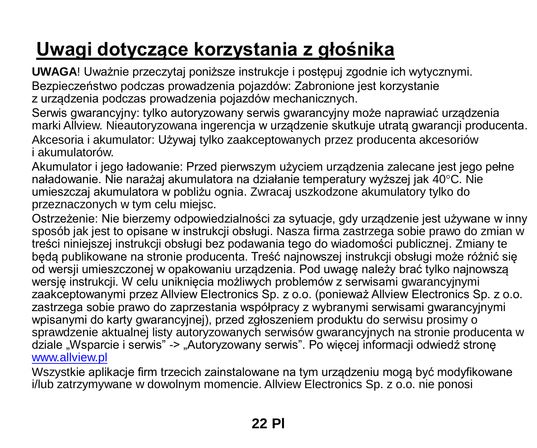## **Uwagi dotyczące korzystania z głośnika**

**UWAGA**! Uważnie przeczytaj poniższe instrukcje i postępuj zgodnie ich wytycznymi. Bezpieczeństwo podczas prowadzenia pojazdów: Zabronione jest korzystanie z urządzenia podczas prowadzenia pojazdów mechanicznych.

Serwis gwarancyjny: tylko autoryzowany serwis gwarancyjny może naprawiać urządzenia marki Allview. Nieautoryzowana ingerencja w urządzenie skutkuje utratą gwarancji producenta. Akcesoria i akumulator: Używaj tylko zaakceptowanych przez producenta akcesoriów i akumulatorów.

Akumulator i jego ładowanie: Przed pierwszym użyciem urządzenia zalecane jest jego pełne naładowanie. Nie narażaj akumulatora na działanie temperatury wyższej jak 40°C. Nie umieszczaj akumulatora w pobliżu ognia. Zwracaj uszkodzone akumulatory tylko do przeznaczonych w tym celu miejsc.

Ostrzeżenie: Nie bierzemy odpowiedzialności za sytuacje, gdy urządzenie jest używane w inny sposób jak jest to opisane w instrukcji obsługi. Nasza firma zastrzega sobie prawo do zmian w treści niniejszej instrukcji obsługi bez podawania tego do wiadomości publicznej. Zmiany te będą publikowane na stronie producenta. Treść najnowszej instrukcji obsługi może różnić się od wersji umieszczonej w opakowaniu urządzenia. Pod uwagę należy brać tylko najnowszą wersię instrukcji. W celu uniknięcia możliwych problemów z serwisami gwarancyjnymi zaakceptowanymi przez Allview Electronics Sp. z o.o. (ponieważ Allview Electronics Sp. z o.o. zastrzega sobie prawo do zaprzestania współpracy z wybranymi serwisami gwarancyjnymi wpisanymi do karty gwarancyjnej), przed zgłoszeniem produktu do serwisu prosimy o sprawdzenie aktualnej listy autoryzowanych serwisów gwarancyjnych na stronie producenta w dziale "Wsparcie i serwis" -> "Autoryzowany serwis". Po więcej informacji odwiedź stronę [www.allview.pl](http://www.allview.pl/)

Wszystkie aplikacje firm trzecich zainstalowane na tym urządzeniu mogą być modyfikowane i/lub zatrzymywane w dowolnym momencie. Allview Electronics Sp. z o.o. nie ponosi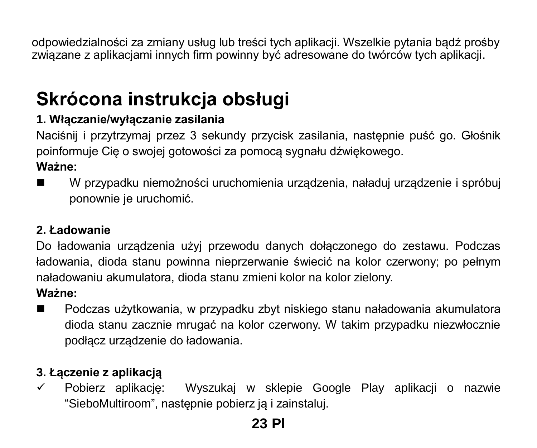odpowiedzialności za zmiany usług lub treści tych aplikacji. Wszelkie pytania bądź prośby związane z aplikacjami innych firm powinny być adresowane do twórców tych aplikacji.

## **Skrócona instrukcja obsługi**

### **1. Włączanie/wyłączanie zasilania**

Naciśnij i przytrzymaj przez 3 sekundy przycisk zasilania, następnie puść go. Głośnik poinformuje Cię o swojej gotowości za pomocą sygnału dźwiękowego.

#### **Ważne:**

 W przypadku niemożności uruchomienia urządzenia, naładuj urządzenie i spróbuj ponownie je uruchomić.

#### **2. Ładowanie**

Do ładowania urządzenia użyj przewodu danych dołączonego do zestawu. Podczas ładowania, dioda stanu powinna nieprzerwanie świecić na kolor czerwony; po pełnym naładowaniu akumulatora, dioda stanu zmieni kolor na kolor zielony.

#### **Ważne:**

 Podczas użytkowania, w przypadku zbyt niskiego stanu naładowania akumulatora dioda stanu zacznie mrugać na kolor czerwony. W takim przypadku niezwłocznie podłącz urządzenie do ładowania.

### **3. Łączenie z aplikacją**

 $\checkmark$  Pobierz aplikacie: Wyszukai w sklepie Google Play aplikacii o nazwie "SieboMultiroom", następnie pobierz ją i zainstaluj.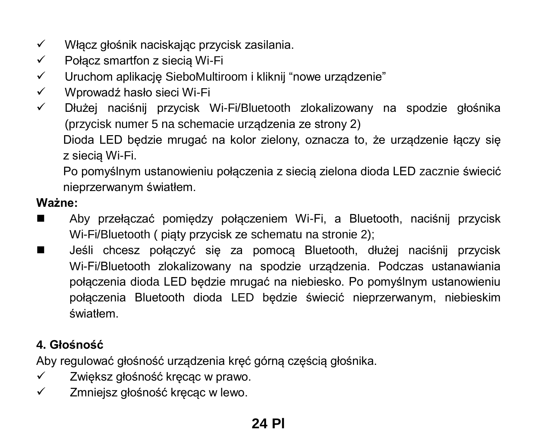- $\checkmark$  Włącz głośnik naciskając przycisk zasilania.
- $\checkmark$  Połącz smartfon z siecią Wi-Fi
- $\checkmark$  Uruchom aplikacie SieboMultiroom i kliknij "nowe urządzenie"
- Wprowadź hasło sieci Wi-Fi
- Dłużej naciśnij przycisk Wi-Fi/Bluetooth zlokalizowany na spodzie głośnika (przycisk numer 5 na schemacie urządzenia ze strony 2)

Dioda LED będzie mrugać na kolor zielony, oznacza to, że urządzenie łączy się z siecią Wi-Fi.

Po pomyślnym ustanowieniu połączenia z siecią zielona dioda LED zacznie świecić nieprzerwanym światłem.

#### **Ważne:**

- Aby przełączać pomiędzy połączeniem Wi-Fi, a Bluetooth, naciśnij przycisk Wi-Fi/Bluetooth ( piąty przycisk ze schematu na stronie 2);
- Jeśli chcesz połączyć się za pomocą Bluetooth, dłużej naciśnij przycisk Wi-Fi/Bluetooth zlokalizowany na spodzie urządzenia. Podczas ustanawiania połączenia dioda LED będzie mrugać na niebiesko. Po pomyślnym ustanowieniu połączenia Bluetooth dioda LED będzie świecić nieprzerwanym, niebieskim światłem.

#### **4. Głośność**

Aby regulować głośność urządzenia kręć górną częścią głośnika.

- $\checkmark$  Zwiększ głośność kręcąc w prawo.
- Zmniejsz głośność kręcąc w lewo.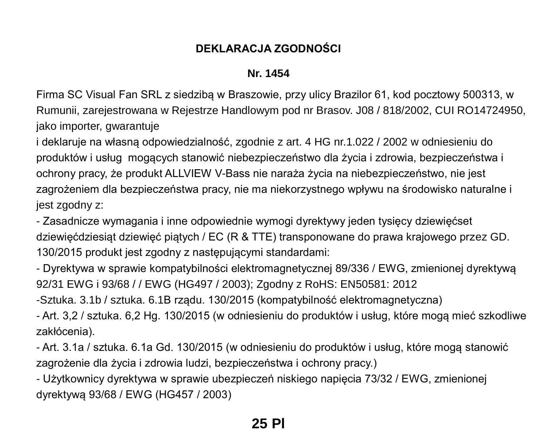#### **DEKLARACJA ZGODNOŚCI**

#### **Nr. 1454**

Firma SC Visual Fan SRL z siedzibą w Braszowie, przy ulicy Brazilor 61, kod pocztowy 500313, w Rumunii, zarejestrowana w Rejestrze Handlowym pod nr Brasov. J08 / 818/2002, CUI RO14724950, jako importer, gwarantuje

i deklaruje na własną odpowiedzialność, zgodnie z art. 4 HG nr.1.022 / 2002 w odniesieniu do produktów i usług mogących stanowić niebezpieczeństwo dla życia i zdrowia, bezpieczeństwa i ochrony pracy, że produkt ALLVIEW V-Bass nie naraża życia na niebezpieczeństwo, nie jest zagrożeniem dla bezpieczeństwa pracy, nie ma niekorzystnego wpływu na środowisko naturalne i jest zgodny z:

- Zasadnicze wymagania i inne odpowiednie wymogi dyrektywy jeden tysięcy dziewięćset dziewięćdziesiąt dziewięć piątych / EC (R & TTE) transponowane do prawa krajowego przez GD. 130/2015 produkt jest zgodny z następującymi standardami:

- Dyrektywa w sprawie kompatybilności elektromagnetycznej 89/336 / EWG, zmienionej dyrektywą 92/31 EWG i 93/68 / / EWG (HG497 / 2003); Zgodny z RoHS: EN50581: 2012

-Sztuka. 3.1b / sztuka. 6.1B rządu. 130/2015 (kompatybilność elektromagnetyczna)

- Art. 3,2 / sztuka. 6,2 Hg. 130/2015 (w odniesieniu do produktów i usług, które mogą mieć szkodliwe zakłócenia).

- Art. 3.1a / sztuka. 6.1a Gd. 130/2015 (w odniesieniu do produktów i usług, które mogą stanowić zagrożenie dla życia i zdrowia ludzi, bezpieczeństwa i ochrony pracy.)

- Użytkownicy dyrektywa w sprawie ubezpieczeń niskiego napięcia 73/32 / EWG, zmienionej dyrektywą 93/68 / EWG (HG457 / 2003)

### **25 Pl**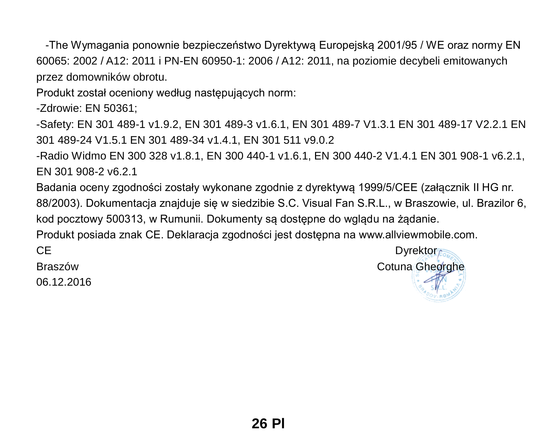-The Wymagania ponownie bezpieczeństwo Dyrektywą Europejską 2001/95 / WE oraz normy EN 60065: 2002 / A12: 2011 i PN-EN 60950-1: 2006 / A12: 2011, na poziomie decybeli emitowanych przez domowników obrotu.

Produkt został oceniony według następujących norm:

-Zdrowie: EN 50361;

-Safety: FN 301 489-1 v1.9.2, EN 301 489-3 v1.6.1, EN 301 489-7 V1.3.1 EN 301 489-17 V2.2.1 EN 301 489-24 V1.5.1 EN 301 489-34 v1.4.1, EN 301 511 v9.0.2

-Radio Widmo EN 300 328 v1.8.1, EN 300 440-1 v1.6.1, EN 300 440-2 V1.4.1 EN 301 908-1 v6.2.1, EN 301 908-2 v6.2.1

Badania oceny zgodności zostały wykonane zgodnie z dyrektywą 1999/5/CEE (załącznik II HG nr. 88/2003). Dokumentacja znajduje się w siedzibie S.C. Visual Fan S.R.L., w Braszowie, ul. Brazilor 6, kod pocztowy 500313, w Rumunii. Dokumenty są dostępne do wglądu na żądanie.

Produkt posiada znak CE. Deklaracja zgodności jest dostępna na www.allviewmobile.com.

06.12.2016

CE Dyrektor Braszów Cotuna Gheorghe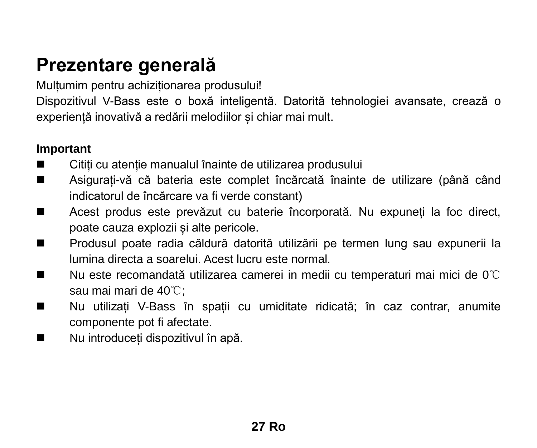### **Prezentare generală**

Multumim pentru achizitionarea produsului!

Dispozitivul V-Bass este o boxă inteligentă. Datorită tehnologiei avansate, crează o experiență inovativă a redării melodiilor și chiar mai mult.

#### **Important**

- Citiți cu atenție manualul înaințe de utilizarea produsului
- Asigurați-vă că bateria este complet încărcată înainte de utilizare (până când indicatorul de încărcare va fi verde constant)
- Acest produs este prevăzut cu baterie încorporată. Nu expuneți la foc direct, poate cauza explozii și alte pericole.
- Produsul poate radia căldură datorită utilizării pe termen lung sau expunerii la lumina directa a soarelui. Acest lucru este normal.
- Nu este recomandată utilizarea camerei in medii cu temperaturi mai mici de 0℃ sau mai mari de 40℃;
- Nu utilizați V-Bass în spații cu umiditate ridicată; în caz contrar, anumite componente pot fi afectate.
- Nu introduceti dispozitivul în apă.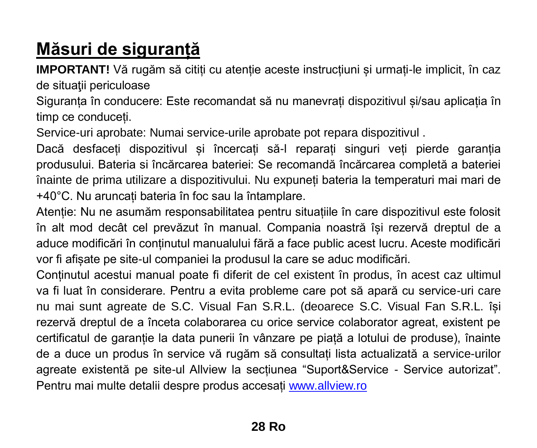## **Măsuri de siguranță**

**IMPORTANT!** Vă rugăm să citiți cu atenție aceste instrucțiuni și urmați-le implicit, în caz de situatii periculoase

Siguranța în conducere: Este recomandat să nu manevrați dispozitivul și/sau aplicația în timp ce conduceți.

Service-uri aprobate: Numai service-urile aprobate pot repara dispozitivul .

Dacă desfaceți dispozitivul și încercați să-l reparați singuri veți pierde garanția produsului. Bateria si încărcarea bateriei: Se recomandă încărcarea completă a bateriei înainte de prima utilizare a dispozitivului. Nu expuneți bateria la temperaturi mai mari de +40°C. Nu aruncați bateria în foc sau la întamplare.

Atenție: Nu ne asumăm responsabilitatea pentru situațiile în care dispozitivul este folosit în alt mod decât cel prevăzut în manual. Compania noastră își rezervă dreptul de a aduce modificări în conținutul manualului fără a face public acest lucru. Aceste modificări vor fi afișate pe site-ul companiei la produsul la care se aduc modificări.

Conținutul acestui manual poate fi diferit de cel existent în produs, în acest caz ultimul va fi luat în considerare. Pentru a evita probleme care pot să apară cu service-uri care nu mai sunt agreate de S.C. Visual Fan S.R.L. (deoarece S.C. Visual Fan S.R.L. își rezervă dreptul de a înceta colaborarea cu orice service colaborator agreat, existent pe certificatul de garanție la data punerii în vânzare pe piață a lotului de produse), înainte de a duce un produs în service vă rugăm să consultați lista actualizată a service-urilor agreate existentă pe site-ul Allview la secțiunea "Suport&Service - Service autorizat". Pentru mai multe detalii despre produs accesaț[i www.allview.ro](http://www.allview.ro/)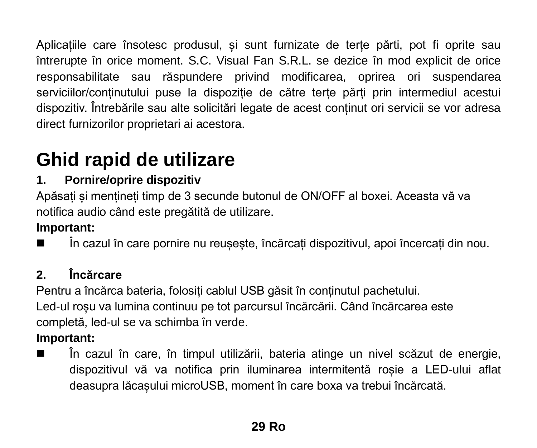Aplicațiile care însotesc produsul, și sunt furnizate de terțe părti, pot fi oprite sau întrerupte în orice moment. S.C. Visual Fan S.R.L. se dezice în mod explicit de orice responsabilitate sau răspundere privind modificarea, oprirea ori suspendarea serviciilor/conținutului puse la dispoziție de către terțe părți prin intermediul acestui dispozitiv. Întrebările sau alte solicitări legate de acest conținut ori servicii se vor adresa direct furnizorilor proprietari ai acestora.

## **Ghid rapid de utilizare**

#### **1. Pornire/oprire dispozitiv**

Apăsați și mențineți timp de 3 secunde butonul de ON/OFF al boxei. Aceasta vă va notifica audio când este pregătită de utilizare.

#### **Important:**

În cazul în care pornire nu reușește, încărcați dispozitivul, apoi încercați din nou.

### **2. Încărcare**

Pentru a încărca bateria, folosiți cablul USB găsit în conținutul pachetului. Led-ul roșu va lumina continuu pe tot parcursul încărcării. Când încărcarea este completă, led-ul se va schimba în verde.

### **Important:**

 În cazul în care, în timpul utilizării, bateria atinge un nivel scăzut de energie, dispozitivul vă va notifica prin iluminarea intermitentă roșie a LED-ului aflat deasupra lăcașului microUSB, moment în care boxa va trebui încărcată.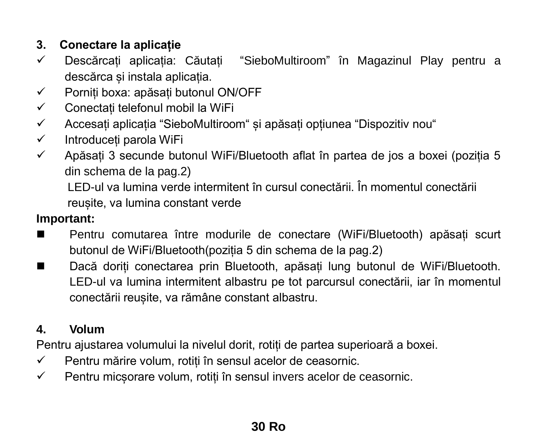#### **3. Conectare la aplicație**

- Descărcați aplicația: Căutați "SieboMultiroom" în Magazinul Play pentru a descărca și instala aplicația.
- Porniți boxa: apăsați butonul ON/OFF
- $\checkmark$  Conectati telefonul mobil la WiFi
- Accesați aplicația "SieboMultiroom" și apăsați opțiunea "Dispozitiv nou"
- $\checkmark$  Introduceți parola WiFi
- $\checkmark$  Apăsați 3 secunde butonul WiFi/Bluetooth aflat în partea de jos a boxei (poziția 5 din schema de la pag.2)

LED-ul va lumina verde intermitent în cursul conectării. În momentul conectării reușite, va lumina constant verde

#### **Important:**

- Pentru comutarea între modurile de conectare (WiFi/Bluetooth) apăsați scurt butonul de WiFi/Bluetooth(poziția 5 din schema de la pag.2)
- Dacă doriți conectarea prin Bluetooth, apăsați lung butonul de WiFi/Bluetooth. LED-ul va lumina intermitent albastru pe tot parcursul conectării, iar în momentul conectării reușite, va rămâne constant albastru.

#### **4. Volum**

Pentru ajustarea volumului la nivelul dorit, rotiți de partea superioară a boxei.

- $\checkmark$  Pentru mărire volum, rotiți în sensul acelor de ceasornic.
- $\checkmark$  Pentru micsorare volum, rotiti în sensul invers acelor de ceasornic.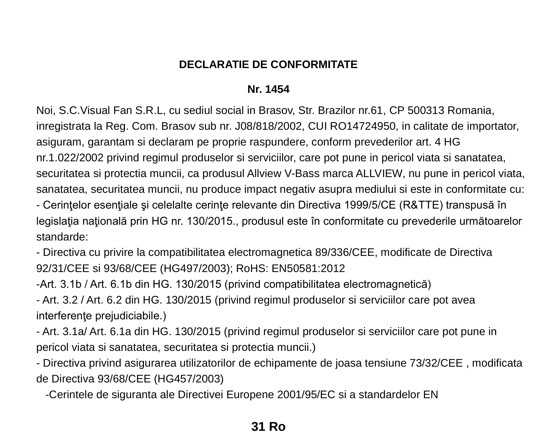#### **DECLARATIE DE CONFORMITATE**

#### **Nr. 1454**

Noi, S.C.Visual Fan S.R.L, cu sediul social in Brasov, Str. Brazilor nr.61, CP 500313 Romania, inregistrata la Reg. Com. Brasov sub nr. J08/818/2002, CUI RO14724950, in calitate de importator, asiguram, garantam si declaram pe proprie raspundere, conform prevederilor art. 4 HG nr.1.022/2002 privind regimul produselor si serviciilor, care pot pune in pericol viata si sanatatea, securitatea si protectia muncii, ca produsul Allview V-Bass marca ALLVIEW, nu pune in pericol viata, sanatatea, securitatea muncii, nu produce impact negativ asupra mediului si este in conformitate cu:

- Cerintelor esentiale și celelalte cerinte relevante din Directiva 1999/5/CE (R&TTE) transpusă în legislația națională prin HG nr. 130/2015., produsul este în conformitate cu prevederile următoarelor standarde:

- Directiva cu privire la compatibilitatea electromagnetica 89/336/CEE, modificate de Directiva 92/31/CEE si 93/68/CEE (HG497/2003); RoHS: EN50581:2012

-Art. 3.1b / Art. 6.1b din HG. 130/2015 (privind compatibilitatea electromagnetică)

- Art. 3.2 / Art. 6.2 din HG. 130/2015 (privind regimul produselor si serviciilor care pot avea interferente prejudiciabile.)

- Art. 3.1a/ Art. 6.1a din HG. 130/2015 (privind regimul produselor si serviciilor care pot pune in pericol viata si sanatatea, securitatea si protectia muncii.)

- Directiva privind asigurarea utilizatorilor de echipamente de joasa tensiune 73/32/CEE , modificata de Directiva 93/68/CEE (HG457/2003)

-Cerintele de siguranta ale Directivei Europene 2001/95/EC si a standardelor EN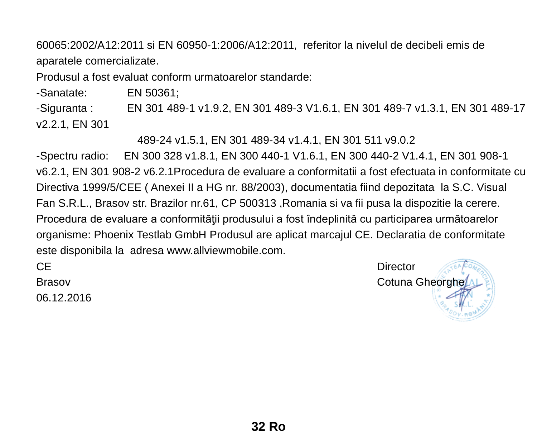60065:2002/A12:2011 si EN 60950-1:2006/A12:2011, referitor la nivelul de decibeli emis de aparatele comercializate.

Produsul a fost evaluat conform urmatoarelor standarde:

-Sanatate: EN 50361;

-Siguranta : EN 301 489-1 v1.9.2, EN 301 489-3 V1.6.1, EN 301 489-7 v1.3.1, EN 301 489-17 v2.2.1, FN 301

489-24 v1.5.1, EN 301 489-34 v1.4.1, EN 301 511 v9.0.2

-Spectru radio: EN 300 328 v1.8.1, EN 300 440-1 V1.6.1, EN 300 440-2 V1.4.1, EN 301 908-1 v6.2.1, EN 301 908-2 v6.2.1Procedura de evaluare a conformitatii a fost efectuata in conformitate cu Directiva 1999/5/CEE ( Anexei II a HG nr. 88/2003), documentatia fiind depozitata la S.C. Visual Fan S.R.L., Brasov str. Brazilor nr.61, CP 500313 ,Romania si va fii pusa la dispozitie la cerere. Procedura de evaluare a conformității produsului a fost îndeplinită cu participarea următoarelor organisme: Phoenix Testlab GmbH Produsul are aplicat marcajul CE. Declaratia de conformitate este disponibila la adresa www.allviewmobile.com.

06.12.2016

CE Director Brasov Cotuna Gheorghe